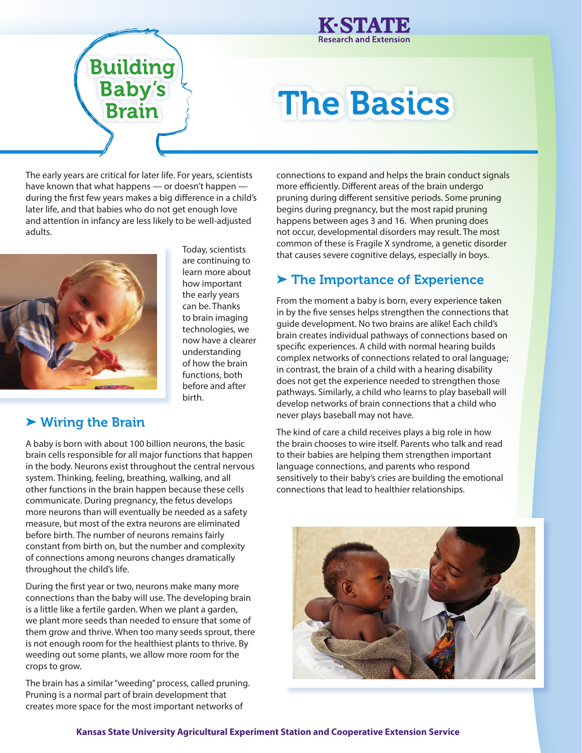

# **Building<br>Baby's<br>Brain**

## The Basics

The early years are critical for later life. For years, scientists have known that what happens — or doesn't happen during the first few years makes a big difference in a child's later life, and that babies who do not get enough love and attention in infancy are less likely to be well-adjusted adults.

> Today, scientists are continuing to learn more about how important the early years can be. Thanks to brain imaging technologies, we now have a clearer understanding of how the brain functions, both before and after

birth.



#### ➤ Wiring the Brain

A baby is born with about 100 billion neurons, the basic brain cells responsible for all major functions that happen in the body. Neurons exist throughout the central nervous system. Thinking, feeling, breathing, walking, and all other functions in the brain happen because these cells communicate. During pregnancy, the fetus develops more neurons than will eventually be needed as a safety measure, but most of the extra neurons are eliminated before birth. The number of neurons remains fairly constant from birth on, but the number and complexity of connections among neurons changes dramatically throughout the child's life.

During the first year or two, neurons make many more connections than the baby will use. The developing brain is a little like a fertile garden. When we plant a garden, we plant more seeds than needed to ensure that some of them grow and thrive. When too many seeds sprout, there is not enough room for the healthiest plants to thrive. By weeding out some plants, we allow more room for the crops to grow.

The brain has a similar "weeding" process, called pruning. Pruning is a normal part of brain development that creates more space for the most important networks of

connections to expand and helps the brain conduct signals more efficiently. Different areas of the brain undergo pruning during different sensitive periods. Some pruning begins during pregnancy, but the most rapid pruning happens between ages 3 and 16. When pruning does not occur, developmental disorders may result. The most common of these is Fragile X syndrome, a genetic disorder that causes severe cognitive delays, especially in boys.

### ▶ The Importance of Experience

From the moment a baby is born, every experience taken in by the five senses helps strengthen the connections that guide development. No two brains are alike! Each child's brain creates individual pathways of connections based on specific experiences. A child with normal hearing builds complex networks of connections related to oral language; in contrast, the brain of a child with a hearing disability does not get the experience needed to strengthen those pathways. Similarly, a child who learns to play baseball will develop networks of brain connections that a child who never plays baseball may not have.

The kind of care a child receives plays a big role in how the brain chooses to wire itself. Parents who talk and read to their babies are helping them strengthen important language connections, and parents who respond sensitively to their baby's cries are building the emotional connections that lead to healthier relationships.



**Kansas State University Agricultural Experiment Station and Cooperative Extension Service**